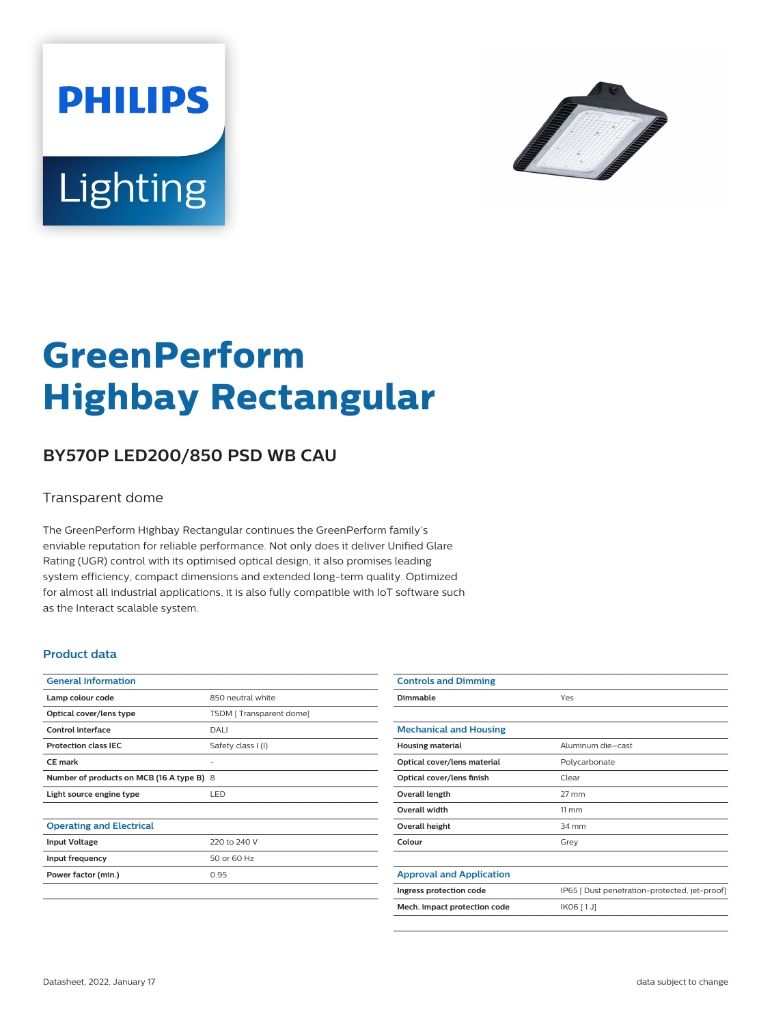



# **GreenPerform Highbay Rectangular**

## **BY570P LED200/850 PSD WB CAU**

#### Transparent dome

The GreenPerform Highbay Rectangular continues the GreenPerform family's enviable reputation for reliable performance. Not only does it deliver Unified Glare Rating (UGR) control with its optimised optical design, it also promises leading system efficiency, compact dimensions and extended long-term quality. Optimized for almost all industrial applications, it is also fully compatible with IoT software such as the Interact scalable system.

#### **Product data**

| <b>General Information</b>                |                         |
|-------------------------------------------|-------------------------|
| Lamp colour code                          | 850 neutral white       |
| Optical cover/lens type                   | TSDM [Transparent dome] |
| Control interface                         | DALI                    |
| <b>Protection class IEC</b>               | Safety class I (I)      |
| <b>CE</b> mark                            |                         |
| Number of products on MCB (16 A type B) 8 |                         |
| Light source engine type                  | LED                     |
|                                           |                         |
| <b>Operating and Electrical</b>           |                         |
| <b>Input Voltage</b>                      | 220 to 240 V            |
| Input frequency                           | 50 or 60 Hz             |
| Power factor (min.)                       | 0.95                    |
|                                           |                         |

| <b>Controls and Dimming</b>     |                                               |
|---------------------------------|-----------------------------------------------|
| Dimmable                        | Yes                                           |
|                                 |                                               |
| <b>Mechanical and Housing</b>   |                                               |
| <b>Housing material</b>         | Aluminum die-cast                             |
| Optical cover/lens material     | Polycarbonate                                 |
| Optical cover/lens finish       | Clear                                         |
| Overall length                  | $27 \text{ mm}$                               |
| <b>Overall width</b>            | $11 \, \mathrm{mm}$                           |
| Overall height                  | 34 mm                                         |
| Colour                          | Grey                                          |
|                                 |                                               |
| <b>Approval and Application</b> |                                               |
| Ingress protection code         | IP65 [ Dust penetration-protected, jet-proof] |
| Mech. impact protection code    | IK06 [1J]                                     |
|                                 |                                               |